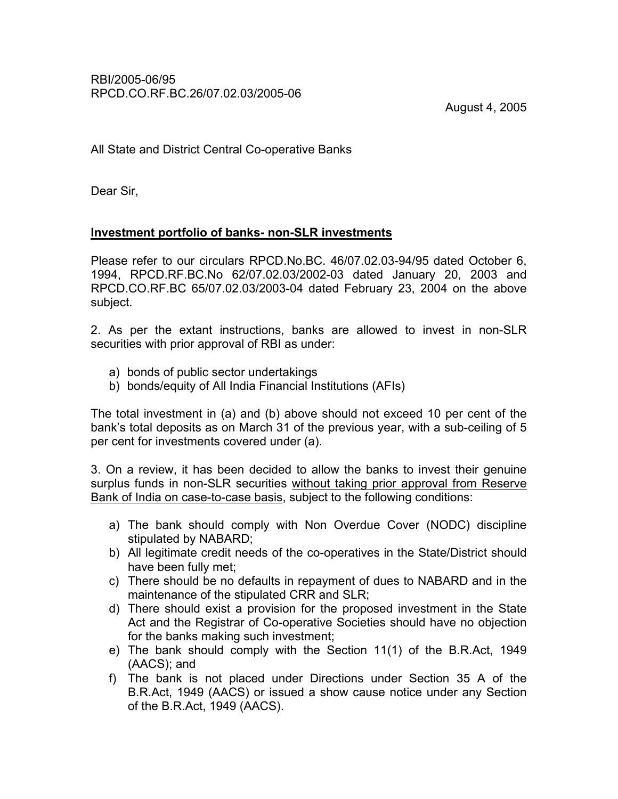August 4, 2005

All State and District Central Co-operative Banks

Dear Sir,

## Investment portfolio of banks- non-SLR investments

Please refer to our circulars RPCD.No.BC. 46/07.02.03-94/95 dated October 6, 1994, RPCD.RF.BC.No 62/07.02.03/2002-03 dated January 20, 2003 and RPCD.CO.RF.BC 65/07.02.03/2003-04 dated February 23, 2004 on the above subject.

2. As per the extant instructions, banks are allowed to invest in non-SLR securities with prior approval of RBI as under:

- a) bonds of public sector undertakings
- b) bonds/equity of All India Financial Institutions (AFIs)

The total investment in (a) and (b) above should not exceed 10 per cent of the bank's total deposits as on March 31 of the previous year, with a sub-ceiling of 5 per cent for investments covered under (a).

3. On a review, it has been decided to allow the banks to invest their genuine surplus funds in non-SLR securities without taking prior approval from Reserve Bank of India on case-to-case basis, subject to the following conditions:

- a) The bank should comply with Non Overdue Cover (NODC) discipline stipulated by NABARD;
- b) All legitimate credit needs of the co-operatives in the State/District should have been fully met;
- c) There should be no defaults in repayment of dues to NABARD and in the maintenance of the stipulated CRR and SLR;
- d) There should exist a provision for the proposed investment in the State Act and the Registrar of Co-operative Societies should have no objection for the banks making such investment;
- e) The bank should comply with the Section 11(1) of the B.R.Act, 1949 (AACS); and
- f) The bank is not placed under Directions under Section 35 A of the B.R.Act, 1949 (AACS) or issued a show cause notice under any Section of the B.R.Act, 1949 (AACS).